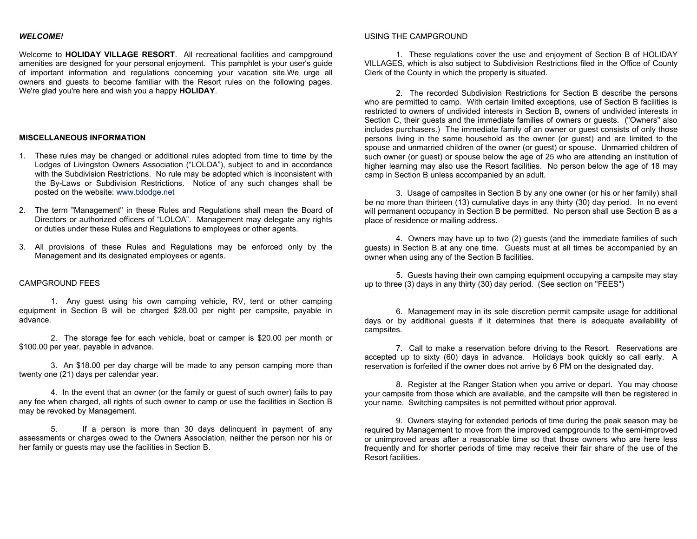## *WELCOME!*

Welcome to **HOLIDAY VILLAGE RESORT**. All recreational facilities and campground amenities are designed for your personal enjoyment. This pamphlet is your user's guide of important information and regulations concerning your vacation site.We urge all owners and guests to become familiar with the Resort rules on the following pages. We're glad you're here and wish you a happy **HOLIDAY**.

#### **MISCELLANEOUS INFORMATION**

- 1. These rules may be changed or additional rules adopted from time to time by the Lodges of Livingston Owners Association ("LOLOA"), subject to and in accordance with the Subdivision Restrictions. No rule may be adopted which is inconsistent with the By-Laws or Subdivision Restrictions. Notice of any such changes shall be posted on the website: www.txlodge.net
- 2. The term "Management" in these Rules and Regulations shall mean the Board of Directors or authorized officers of "LOLOA". Management may delegate any rights or duties under these Rules and Regulations to employees or other agents.
- 3. All provisions of these Rules and Regulations may be enforced only by the Management and its designated employees or agents.

### CAMPGROUND FEES

1. Any guest using his own camping vehicle, RV, tent or other camping equipment in Section B will be charged \$28.00 per night per campsite, payable in advance.

2. The storage fee for each vehicle, boat or camper is \$20.00 per month or \$100.00 per year, payable in advance.

3. An \$18.00 per day charge will be made to any person camping more than twenty one (21) days per calendar year.

4. In the event that an owner (or the family or guest of such owner) fails to pay any fee when charged, all rights of such owner to camp or use the facilities in Section B may be revoked by Management.

5. If a person is more than 30 days delinquent in payment of any assessments or charges owed to the Owners Association, neither the person nor his or her family or guests may use the facilities in Section B.

#### USING THE CAMPGROUND

1. These regulations cover the use and enjoyment of Section B of HOLIDAY VILLAGES, which is also subject to Subdivision Restrictions filed in the Office of County Clerk of the County in which the property is situated.

2. The recorded Subdivision Restrictions for Section B describe the persons who are permitted to camp. With certain limited exceptions, use of Section B facilities is restricted to owners of undivided interests in Section B, owners of undivided interests in Section C, their guests and the immediate families of owners or guests. ("Owners" also includes purchasers.) The immediate family of an owner or guest consists of only those persons living in the same household as the owner (or guest) and are limited to the spouse and unmarried children of the owner (or guest) or spouse. Unmarried children of such owner (or guest) or spouse below the age of 25 who are attending an institution of higher learning may also use the Resort facilities. No person below the age of 18 may camp in Section B unless accompanied by an adult.

3. Usage of campsites in Section B by any one owner (or his or her family) shall be no more than thirteen (13) cumulative days in any thirty (30) day period. In no event will permanent occupancy in Section B be permitted. No person shall use Section B as a place of residence or mailing address.

4. Owners may have up to two (2) guests (and the immediate families of such guests) in Section B at any one time. Guests must at all times be accompanied by an owner when using any of the Section B facilities.

5. Guests having their own camping equipment occupying a campsite may stay up to three (3) days in any thirty (30) day period. (See section on "FEES")

6. Management may in its sole discretion permit campsite usage for additional days or by additional guests if it determines that there is adequate availability of campsites.

7. Call to make a reservation before driving to the Resort. Reservations are accepted up to sixty (60) days in advance. Holidays book quickly so call early. A reservation is forfeited if the owner does not arrive by 6 PM on the designated day.

8. Register at the Ranger Station when you arrive or depart. You may choose your campsite from those which are available, and the campsite will then be registered in your name. Switching campsites is not permitted without prior approval.

9. Owners staying for extended periods of time during the peak season may be required by Management to move from the improved campgrounds to the semi-improved or unimproved areas after a reasonable time so that those owners who are here less frequently and for shorter periods of time may receive their fair share of the use of the Resort facilities.